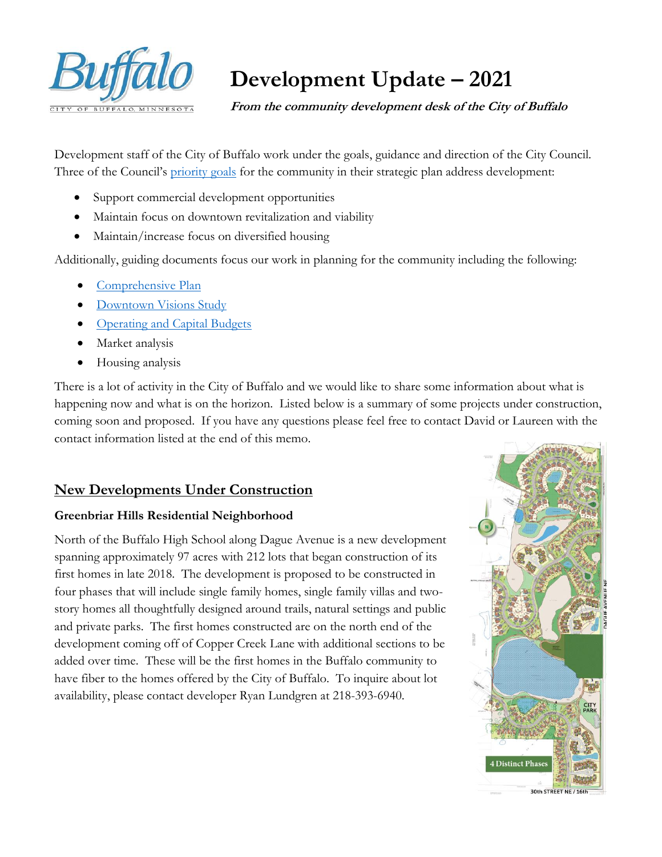

# **Development Update – 2021**

 **From the community development desk of the City of Buffalo**

Development staff of the City of Buffalo work under the goals, guidance and direction of the City Council. Three of the Council's [priority goals](https://www.ci.buffalo.mn.us/wp-content/uploads/2015/01/city-of-buffalo-goals-2019.pdf) for the community in their strategic plan address development:

- Support commercial development opportunities
- Maintain focus on downtown revitalization and viability
- Maintain/increase focus on diversified housing

Additionally, guiding documents focus our work in planning for the community including the following:

- **[Comprehensive Plan](https://www.ci.buffalo.mn.us/wp-content/uploads/2014/05/CompPlanUpdate071003.pdf)**
- [Downtown Visions Study](https://www.ci.buffalo.mn.us/wp-content/uploads/2014/03/Downtown-Buffalo-Visions-FINAL-2007.pdf)
- [Operating and Capital Budgets](https://www.ci.buffalo.mn.us/2019-budget-report/)
- Market analysis
- Housing analysis

There is a lot of activity in the City of Buffalo and we would like to share some information about what is happening now and what is on the horizon. Listed below is a summary of some projects under construction, coming soon and proposed. If you have any questions please feel free to contact David or Laureen with the contact information listed at the end of this memo.

#### **New Developments Under Construction**

#### **Greenbriar Hills Residential Neighborhood**

North of the Buffalo High School along Dague Avenue is a new development spanning approximately 97 acres with 212 lots that began construction of its first homes in late 2018. The development is proposed to be constructed in four phases that will include single family homes, single family villas and twostory homes all thoughtfully designed around trails, natural settings and public and private parks. The first homes constructed are on the north end of the development coming off of Copper Creek Lane with additional sections to be added over time. These will be the first homes in the Buffalo community to have fiber to the homes offered by the City of Buffalo. To inquire about lot availability, please contact developer Ryan Lundgren at 218-393-6940.

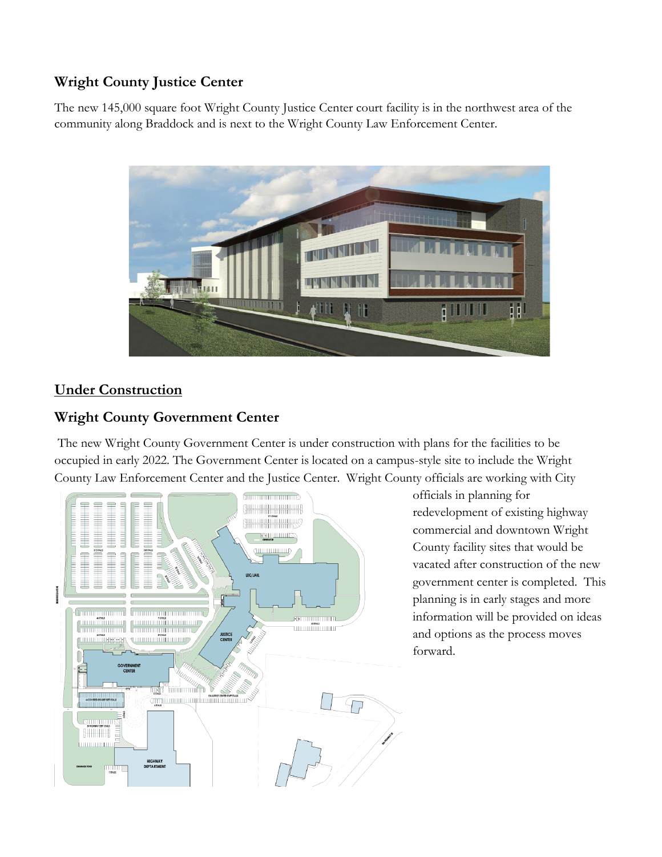## **Wright County Justice Center**

The new 145,000 square foot Wright County Justice Center court facility is in the northwest area of the community along Braddock and is next to the Wright County Law Enforcement Center.



# **Under Construction**

#### **Wright County Government Center**

The new Wright County Government Center is under construction with plans for the facilities to be occupied in early 2022. The Government Center is located on a campus-style site to include the Wright County Law Enforcement Center and the Justice Center. Wright County officials are working with City



officials in planning for redevelopment of existing highway commercial and downtown Wright County facility sites that would be vacated after construction of the new government center is completed. This planning is in early stages and more information will be provided on ideas and options as the process moves forward.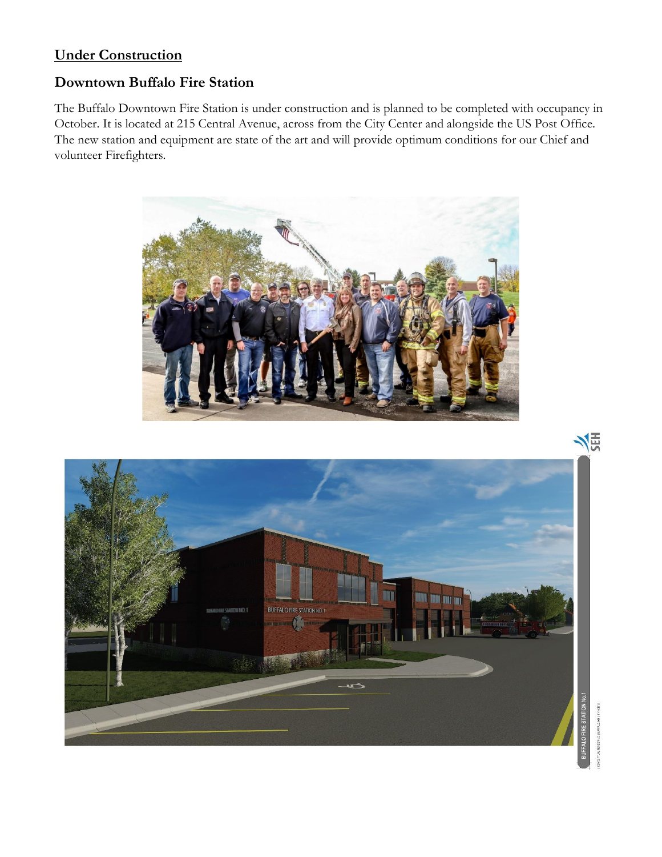## **Under Construction**

#### **Downtown Buffalo Fire Station**

The Buffalo Downtown Fire Station is under construction and is planned to be completed with occupancy in October. It is located at 215 Central Avenue, across from the City Center and alongside the US Post Office. The new station and equipment are state of the art and will provide optimum conditions for our Chief and volunteer Firefighters.



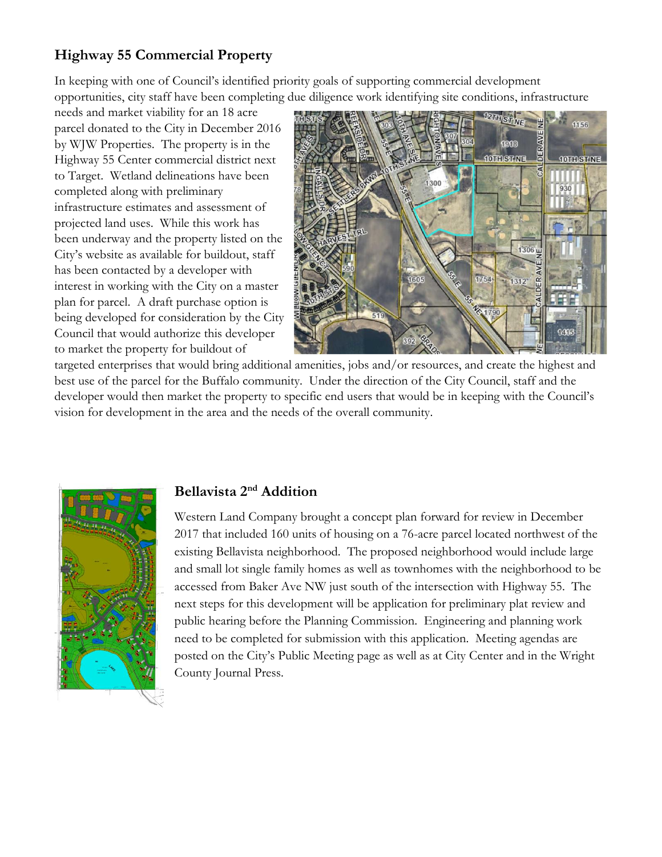# **Highway 55 Commercial Property**

In keeping with one of Council's identified priority goals of supporting commercial development opportunities, city staff have been completing due diligence work identifying site conditions, infrastructure

needs and market viability for an 18 acre parcel donated to the City in December 2016 by WJW Properties. The property is in the Highway 55 Center commercial district next to Target. Wetland delineations have been completed along with preliminary infrastructure estimates and assessment of projected land uses. While this work has been underway and the property listed on the City's website as available for buildout, staff has been contacted by a developer with interest in working with the City on a master plan for parcel. A draft purchase option is being developed for consideration by the City Council that would authorize this developer to market the property for buildout of



targeted enterprises that would bring additional amenities, jobs and/or resources, and create the highest and best use of the parcel for the Buffalo community. Under the direction of the City Council, staff and the developer would then market the property to specific end users that would be in keeping with the Council's vision for development in the area and the needs of the overall community.



#### **Bellavista 2nd Addition**

Western Land Company brought a concept plan forward for review in December 2017 that included 160 units of housing on a 76-acre parcel located northwest of the existing Bellavista neighborhood. The proposed neighborhood would include large and small lot single family homes as well as townhomes with the neighborhood to be accessed from Baker Ave NW just south of the intersection with Highway 55. The next steps for this development will be application for preliminary plat review and public hearing before the Planning Commission. Engineering and planning work need to be completed for submission with this application. Meeting agendas are posted on the City's Public Meeting page as well as at City Center and in the Wright County Journal Press.